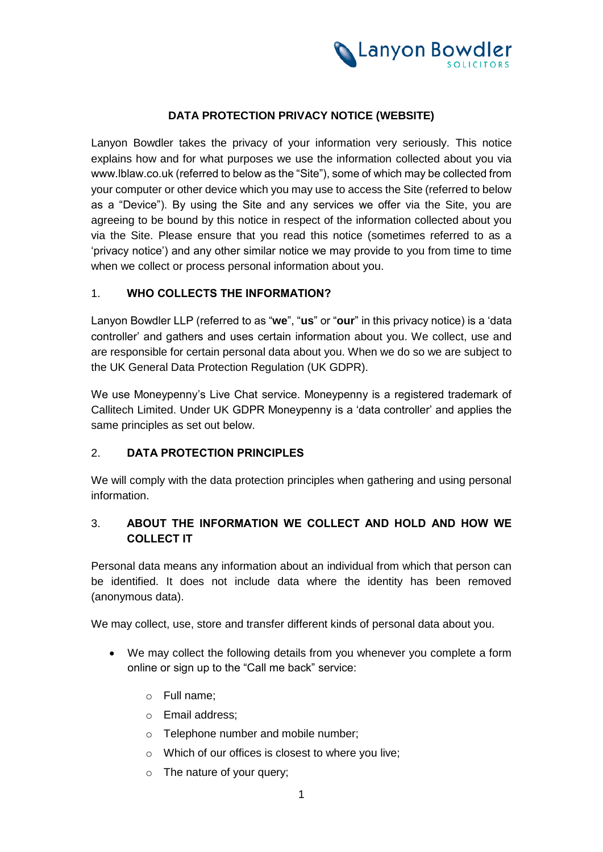

# **DATA PROTECTION PRIVACY NOTICE (WEBSITE)**

Lanyon Bowdler takes the privacy of your information very seriously. This notice explains how and for what purposes we use the information collected about you via www.lblaw.co.uk (referred to below as the "Site"), some of which may be collected from your computer or other device which you may use to access the Site (referred to below as a "Device"). By using the Site and any services we offer via the Site, you are agreeing to be bound by this notice in respect of the information collected about you via the Site. Please ensure that you read this notice (sometimes referred to as a 'privacy notice') and any other similar notice we may provide to you from time to time when we collect or process personal information about you.

## 1. **WHO COLLECTS THE INFORMATION?**

Lanyon Bowdler LLP (referred to as "**we**", "**us**" or "**our**" in this privacy notice) is a 'data controller' and gathers and uses certain information about you. We collect, use and are responsible for certain personal data about you. When we do so we are subject to the UK General Data Protection Regulation (UK GDPR).

We use Moneypenny's Live Chat service. Moneypenny is a registered trademark of Callitech Limited. Under UK GDPR Moneypenny is a 'data controller' and applies the same principles as set out below.

## 2. **DATA PROTECTION PRINCIPLES**

We will comply with the data protection principles when gathering and using personal information.

# 3. **ABOUT THE INFORMATION WE COLLECT AND HOLD AND HOW WE COLLECT IT**

Personal data means any information about an individual from which that person can be identified. It does not include data where the identity has been removed (anonymous data).

We may collect, use, store and transfer different kinds of personal data about you.

- We may collect the following details from you whenever you complete a form online or sign up to the "Call me back" service:
	- o Full name;
	- o Email address;
	- o Telephone number and mobile number;
	- o Which of our offices is closest to where you live;
	- o The nature of your query;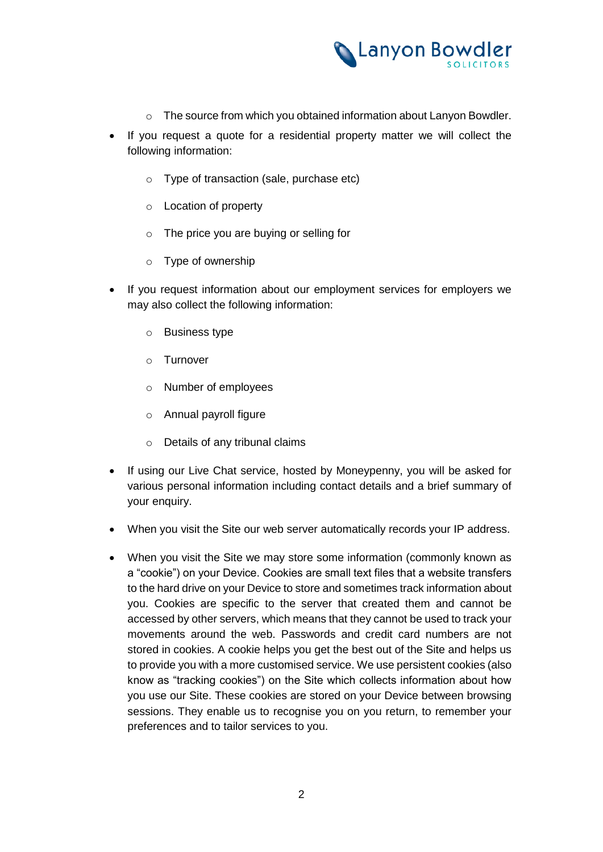

- o The source from which you obtained information about Lanyon Bowdler.
- If you request a quote for a residential property matter we will collect the following information:
	- o Type of transaction (sale, purchase etc)
	- o Location of property
	- o The price you are buying or selling for
	- o Type of ownership
- If you request information about our employment services for employers we may also collect the following information:
	- o Business type
	- o Turnover
	- o Number of employees
	- o Annual payroll figure
	- o Details of any tribunal claims
- If using our Live Chat service, hosted by Moneypenny, you will be asked for various personal information including contact details and a brief summary of your enquiry.
- When you visit the Site our web server automatically records your IP address.
- When you visit the Site we may store some information (commonly known as a "cookie") on your Device. Cookies are small text files that a website transfers to the hard drive on your Device to store and sometimes track information about you. Cookies are specific to the server that created them and cannot be accessed by other servers, which means that they cannot be used to track your movements around the web. Passwords and credit card numbers are not stored in cookies. A cookie helps you get the best out of the Site and helps us to provide you with a more customised service. We use persistent cookies (also know as "tracking cookies") on the Site which collects information about how you use our Site. These cookies are stored on your Device between browsing sessions. They enable us to recognise you on you return, to remember your preferences and to tailor services to you.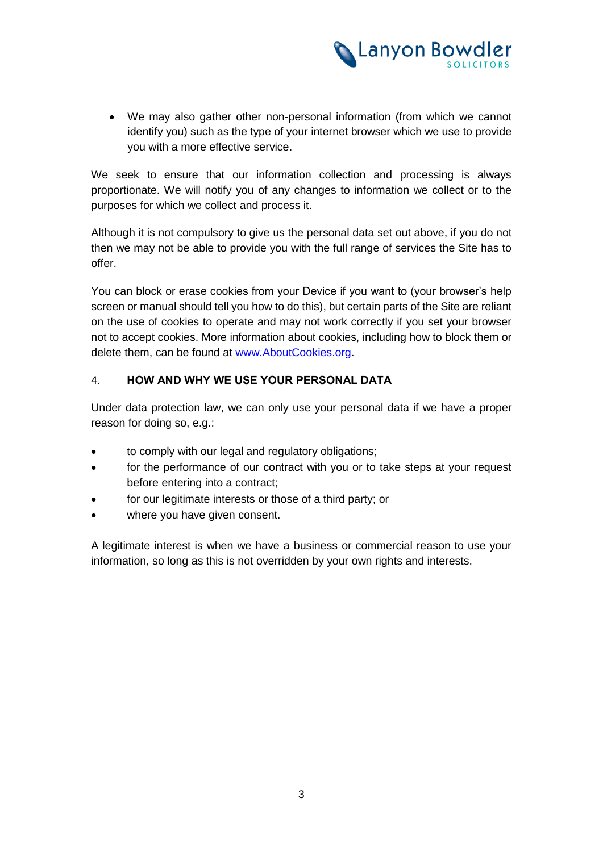

 We may also gather other non-personal information (from which we cannot identify you) such as the type of your internet browser which we use to provide you with a more effective service.

We seek to ensure that our information collection and processing is always proportionate. We will notify you of any changes to information we collect or to the purposes for which we collect and process it.

Although it is not compulsory to give us the personal data set out above, if you do not then we may not be able to provide you with the full range of services the Site has to offer.

You can block or erase cookies from your Device if you want to (your browser's help screen or manual should tell you how to do this), but certain parts of the Site are reliant on the use of cookies to operate and may not work correctly if you set your browser not to accept cookies. More information about cookies, including how to block them or delete them, can be found at [www.AboutCookies.org.](http://www.aboutcookies.org/)

# 4. **HOW AND WHY WE USE YOUR PERSONAL DATA**

Under data protection law, we can only use your personal data if we have a proper reason for doing so, e.g.:

- to comply with our legal and regulatory obligations;
- for the performance of our contract with you or to take steps at your request before entering into a contract;
- for our legitimate interests or those of a third party; or
- where you have given consent.

A legitimate interest is when we have a business or commercial reason to use your information, so long as this is not overridden by your own rights and interests.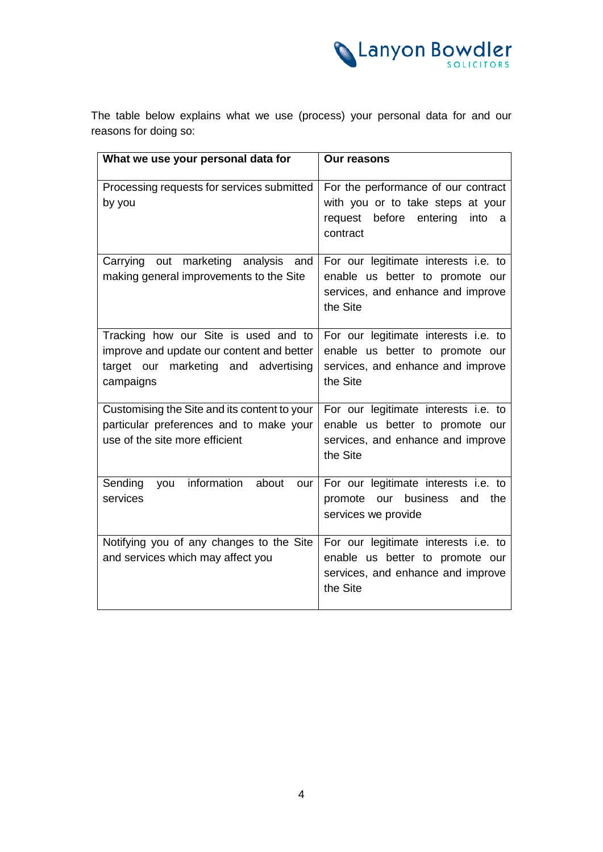

The table below explains what we use (process) your personal data for and our reasons for doing so:

| What we use your personal data for                                                                                                     | Our reasons                                                                                                                  |
|----------------------------------------------------------------------------------------------------------------------------------------|------------------------------------------------------------------------------------------------------------------------------|
| Processing requests for services submitted<br>by you                                                                                   | For the performance of our contract<br>with you or to take steps at your<br>request before entering<br>into<br>a<br>contract |
| Carrying out marketing analysis<br>and<br>making general improvements to the Site                                                      | For our legitimate interests i.e. to<br>enable us better to promote our<br>services, and enhance and improve<br>the Site     |
| Tracking how our Site is used and to<br>improve and update our content and better<br>target our marketing and advertising<br>campaigns | For our legitimate interests i.e. to<br>enable us better to promote our<br>services, and enhance and improve<br>the Site     |
| Customising the Site and its content to your<br>particular preferences and to make your<br>use of the site more efficient              | For our legitimate interests i.e. to<br>enable us better to promote our<br>services, and enhance and improve<br>the Site     |
| Sending<br>you information<br>about<br>our<br>services                                                                                 | For our legitimate interests i.e. to<br>promote our<br>business<br>and<br>the<br>services we provide                         |
| Notifying you of any changes to the Site<br>and services which may affect you                                                          | For our legitimate interests i.e. to<br>enable us better to promote our<br>services, and enhance and improve<br>the Site     |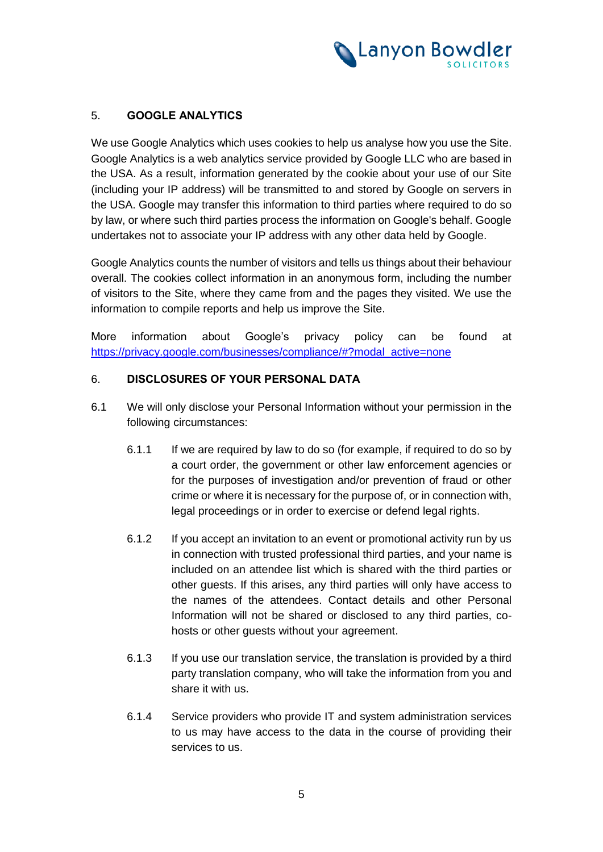

# 5. **GOOGLE ANALYTICS**

We use Google Analytics which uses cookies to help us analyse how you use the Site. Google Analytics is a web analytics service provided by Google LLC who are based in the USA. As a result, information generated by the cookie about your use of our Site (including your IP address) will be transmitted to and stored by Google on servers in the USA. Google may transfer this information to third parties where required to do so by law, or where such third parties process the information on Google's behalf. Google undertakes not to associate your IP address with any other data held by Google.

Google Analytics counts the number of visitors and tells us things about their behaviour overall. The cookies collect information in an anonymous form, including the number of visitors to the Site, where they came from and the pages they visited. We use the information to compile reports and help us improve the Site.

More information about Google's privacy policy can be found at [https://privacy.google.com/businesses/compliance/#?modal\\_active=none](https://privacy.google.com/businesses/compliance/#?modal_active=none)

## 6. **DISCLOSURES OF YOUR PERSONAL DATA**

- 6.1 We will only disclose your Personal Information without your permission in the following circumstances:
	- 6.1.1 If we are required by law to do so (for example, if required to do so by a court order, the government or other law enforcement agencies or for the purposes of investigation and/or prevention of fraud or other crime or where it is necessary for the purpose of, or in connection with, legal proceedings or in order to exercise or defend legal rights.
	- 6.1.2 If you accept an invitation to an event or promotional activity run by us in connection with trusted professional third parties, and your name is included on an attendee list which is shared with the third parties or other guests. If this arises, any third parties will only have access to the names of the attendees. Contact details and other Personal Information will not be shared or disclosed to any third parties, cohosts or other guests without your agreement.
	- 6.1.3 If you use our translation service, the translation is provided by a third party translation company, who will take the information from you and share it with us.
	- 6.1.4 Service providers who provide IT and system administration services to us may have access to the data in the course of providing their services to us.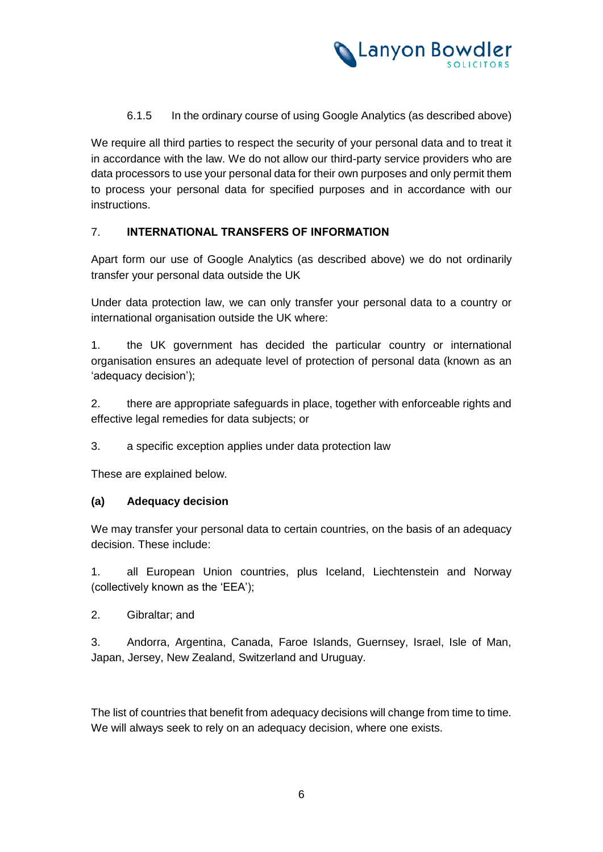

# 6.1.5 In the ordinary course of using Google Analytics (as described above)

We require all third parties to respect the security of your personal data and to treat it in accordance with the law. We do not allow our third-party service providers who are data processors to use your personal data for their own purposes and only permit them to process your personal data for specified purposes and in accordance with our instructions.

## 7. **INTERNATIONAL TRANSFERS OF INFORMATION**

Apart form our use of Google Analytics (as described above) we do not ordinarily transfer your personal data outside the UK

Under data protection law, we can only transfer your personal data to a country or international organisation outside the UK where:

1. the UK government has decided the particular country or international organisation ensures an adequate level of protection of personal data (known as an 'adequacy decision');

2. there are appropriate safeguards in place, together with enforceable rights and effective legal remedies for data subjects; or

3. a specific exception applies under data protection law

These are explained below.

## **(a) Adequacy decision**

We may transfer your personal data to certain countries, on the basis of an adequacy decision. These include:

1. all European Union countries, plus Iceland, Liechtenstein and Norway (collectively known as the 'EEA');

2. Gibraltar; and

3. Andorra, Argentina, Canada, Faroe Islands, Guernsey, Israel, Isle of Man, Japan, Jersey, New Zealand, Switzerland and Uruguay.

The list of countries that benefit from adequacy decisions will change from time to time. We will always seek to rely on an adequacy decision, where one exists.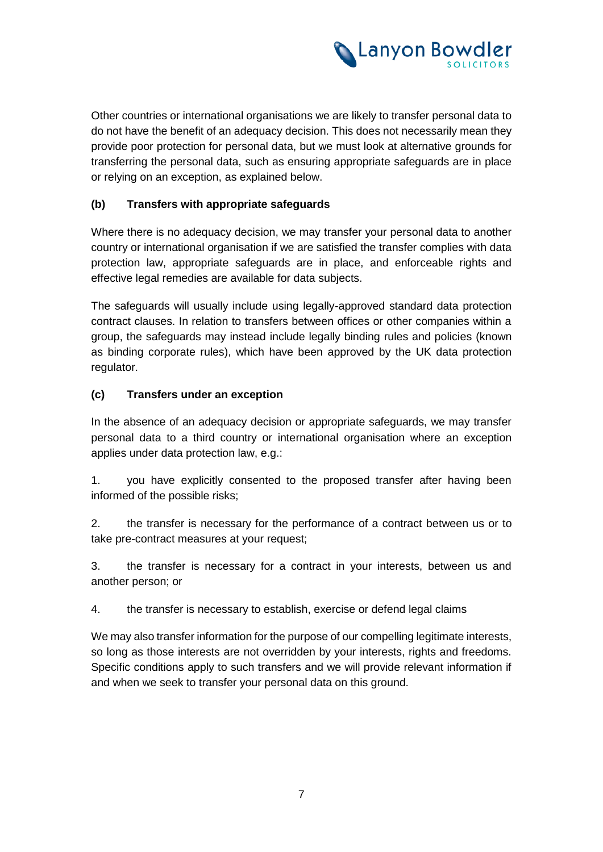

Other countries or international organisations we are likely to transfer personal data to do not have the benefit of an adequacy decision. This does not necessarily mean they provide poor protection for personal data, but we must look at alternative grounds for transferring the personal data, such as ensuring appropriate safeguards are in place or relying on an exception, as explained below.

# **(b) Transfers with appropriate safeguards**

Where there is no adequacy decision, we may transfer your personal data to another country or international organisation if we are satisfied the transfer complies with data protection law, appropriate safeguards are in place, and enforceable rights and effective legal remedies are available for data subjects.

The safeguards will usually include using legally-approved standard data protection contract clauses. In relation to transfers between offices or other companies within a group, the safeguards may instead include legally binding rules and policies (known as binding corporate rules), which have been approved by the UK data protection regulator.

# **(c) Transfers under an exception**

In the absence of an adequacy decision or appropriate safeguards, we may transfer personal data to a third country or international organisation where an exception applies under data protection law, e.g.:

1. you have explicitly consented to the proposed transfer after having been informed of the possible risks;

2. the transfer is necessary for the performance of a contract between us or to take pre-contract measures at your request;

3. the transfer is necessary for a contract in your interests, between us and another person; or

4. the transfer is necessary to establish, exercise or defend legal claims

We may also transfer information for the purpose of our compelling legitimate interests, so long as those interests are not overridden by your interests, rights and freedoms. Specific conditions apply to such transfers and we will provide relevant information if and when we seek to transfer your personal data on this ground.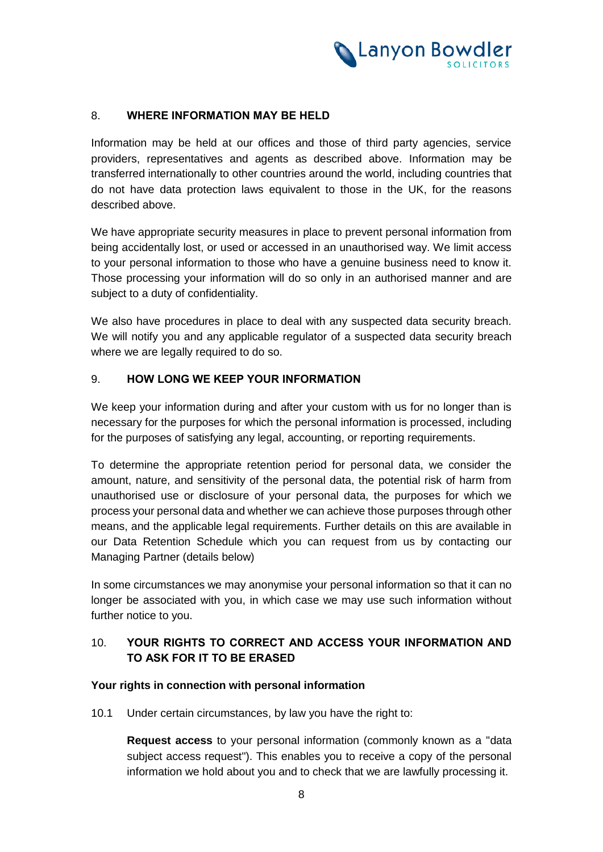

## 8. **WHERE INFORMATION MAY BE HELD**

Information may be held at our offices and those of third party agencies, service providers, representatives and agents as described above. Information may be transferred internationally to other countries around the world, including countries that do not have data protection laws equivalent to those in the UK, for the reasons described above.

We have appropriate security measures in place to prevent personal information from being accidentally lost, or used or accessed in an unauthorised way. We limit access to your personal information to those who have a genuine business need to know it. Those processing your information will do so only in an authorised manner and are subject to a duty of confidentiality.

We also have procedures in place to deal with any suspected data security breach. We will notify you and any applicable regulator of a suspected data security breach where we are legally required to do so.

# 9. **HOW LONG WE KEEP YOUR INFORMATION**

We keep your information during and after your custom with us for no longer than is necessary for the purposes for which the personal information is processed, including for the purposes of satisfying any legal, accounting, or reporting requirements.

To determine the appropriate retention period for personal data, we consider the amount, nature, and sensitivity of the personal data, the potential risk of harm from unauthorised use or disclosure of your personal data, the purposes for which we process your personal data and whether we can achieve those purposes through other means, and the applicable legal requirements. Further details on this are available in our Data Retention Schedule which you can request from us by contacting our Managing Partner (details below)

In some circumstances we may anonymise your personal information so that it can no longer be associated with you, in which case we may use such information without further notice to you.

# 10. **YOUR RIGHTS TO CORRECT AND ACCESS YOUR INFORMATION AND TO ASK FOR IT TO BE ERASED**

#### **Your rights in connection with personal information**

10.1 Under certain circumstances, by law you have the right to:

**Request access** to your personal information (commonly known as a "data subject access request"). This enables you to receive a copy of the personal information we hold about you and to check that we are lawfully processing it.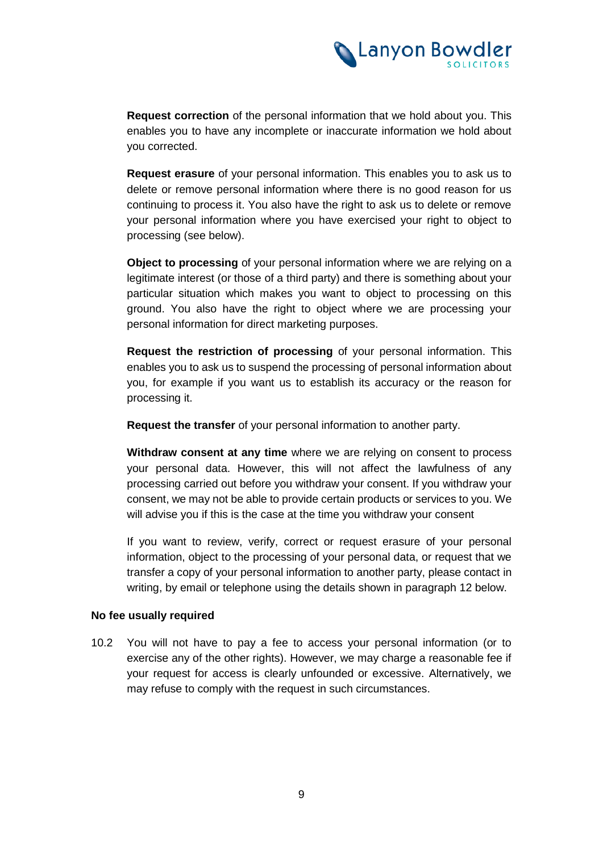

**Request correction** of the personal information that we hold about you. This enables you to have any incomplete or inaccurate information we hold about you corrected.

**Request erasure** of your personal information. This enables you to ask us to delete or remove personal information where there is no good reason for us continuing to process it. You also have the right to ask us to delete or remove your personal information where you have exercised your right to object to processing (see below).

**Object to processing** of your personal information where we are relying on a legitimate interest (or those of a third party) and there is something about your particular situation which makes you want to object to processing on this ground. You also have the right to object where we are processing your personal information for direct marketing purposes.

**Request the restriction of processing** of your personal information. This enables you to ask us to suspend the processing of personal information about you, for example if you want us to establish its accuracy or the reason for processing it.

**Request the transfer** of your personal information to another party.

**Withdraw consent at any time** where we are relying on consent to process your personal data. However, this will not affect the lawfulness of any processing carried out before you withdraw your consent. If you withdraw your consent, we may not be able to provide certain products or services to you. We will advise you if this is the case at the time you withdraw your consent

If you want to review, verify, correct or request erasure of your personal information, object to the processing of your personal data, or request that we transfer a copy of your personal information to another party, please contact in writing, by email or telephone using the details shown in paragraph [12](#page-9-0) below.

#### **No fee usually required**

10.2 You will not have to pay a fee to access your personal information (or to exercise any of the other rights). However, we may charge a reasonable fee if your request for access is clearly unfounded or excessive. Alternatively, we may refuse to comply with the request in such circumstances.